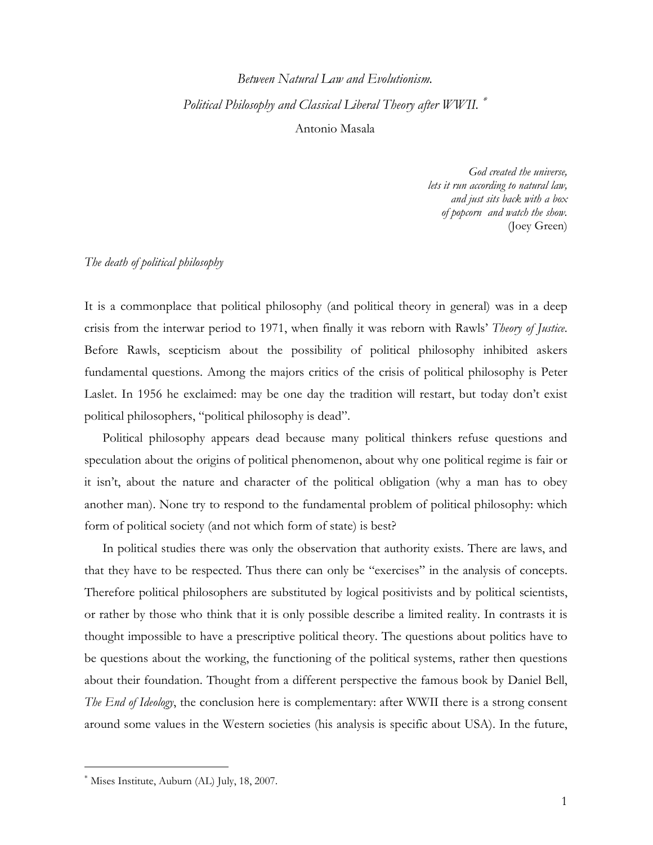# Between Natural Law and Evolutionism. Political Philosophy and Classical Liberal Theory after WWII. <sup>\*</sup> Antonio Masala

God created the universe, lets it run according to natural law, and just sits back with a box of popcorn and watch the show. (Joey Green)

## The death of political philosophy

It is a commonplace that political philosophy (and political theory in general) was in a deep crisis from the interwar period to 1971, when finally it was reborn with Rawls' Theory of Justice. Before Rawls, scepticism about the possibility of political philosophy inhibited askers fundamental questions. Among the majors critics of the crisis of political philosophy is Peter Laslet. In 1956 he exclaimed: may be one day the tradition will restart, but today don't exist political philosophers, "political philosophy is dead".

Political philosophy appears dead because many political thinkers refuse questions and speculation about the origins of political phenomenon, about why one political regime is fair or it isn't, about the nature and character of the political obligation (why a man has to obey another man). None try to respond to the fundamental problem of political philosophy: which form of political society (and not which form of state) is best?

In political studies there was only the observation that authority exists. There are laws, and that they have to be respected. Thus there can only be "exercises" in the analysis of concepts. Therefore political philosophers are substituted by logical positivists and by political scientists, or rather by those who think that it is only possible describe a limited reality. In contrasts it is thought impossible to have a prescriptive political theory. The questions about politics have to be questions about the working, the functioning of the political systems, rather then questions about their foundation. Thought from a different perspective the famous book by Daniel Bell, The End of Ideology, the conclusion here is complementary: after WWII there is a strong consent around some values in the Western societies (his analysis is specific about USA). In the future,

l

<sup>∗</sup> Mises Institute, Auburn (AL) July, 18, 2007.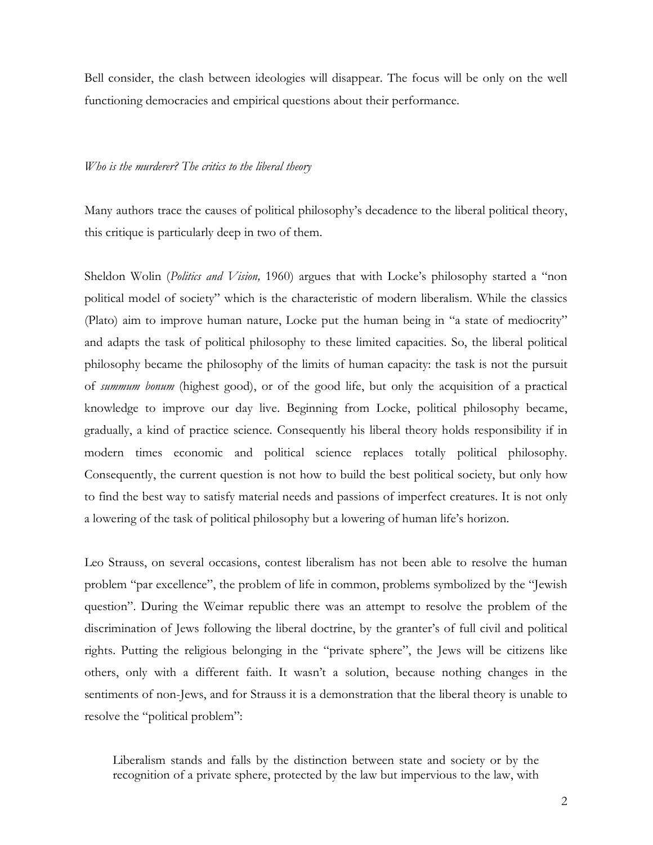Bell consider, the clash between ideologies will disappear. The focus will be only on the well functioning democracies and empirical questions about their performance.

#### Who is the murderer? The critics to the liberal theory

Many authors trace the causes of political philosophy's decadence to the liberal political theory, this critique is particularly deep in two of them.

Sheldon Wolin (*Politics and Vision*, 1960) argues that with Locke's philosophy started a "non political model of society" which is the characteristic of modern liberalism. While the classics (Plato) aim to improve human nature, Locke put the human being in "a state of mediocrity" and adapts the task of political philosophy to these limited capacities. So, the liberal political philosophy became the philosophy of the limits of human capacity: the task is not the pursuit of summum bonum (highest good), or of the good life, but only the acquisition of a practical knowledge to improve our day live. Beginning from Locke, political philosophy became, gradually, a kind of practice science. Consequently his liberal theory holds responsibility if in modern times economic and political science replaces totally political philosophy. Consequently, the current question is not how to build the best political society, but only how to find the best way to satisfy material needs and passions of imperfect creatures. It is not only a lowering of the task of political philosophy but a lowering of human life's horizon.

Leo Strauss, on several occasions, contest liberalism has not been able to resolve the human problem "par excellence", the problem of life in common, problems symbolized by the "Jewish question". During the Weimar republic there was an attempt to resolve the problem of the discrimination of Jews following the liberal doctrine, by the granter's of full civil and political rights. Putting the religious belonging in the "private sphere", the Jews will be citizens like others, only with a different faith. It wasn't a solution, because nothing changes in the sentiments of non-Jews, and for Strauss it is a demonstration that the liberal theory is unable to resolve the "political problem":

Liberalism stands and falls by the distinction between state and society or by the recognition of a private sphere, protected by the law but impervious to the law, with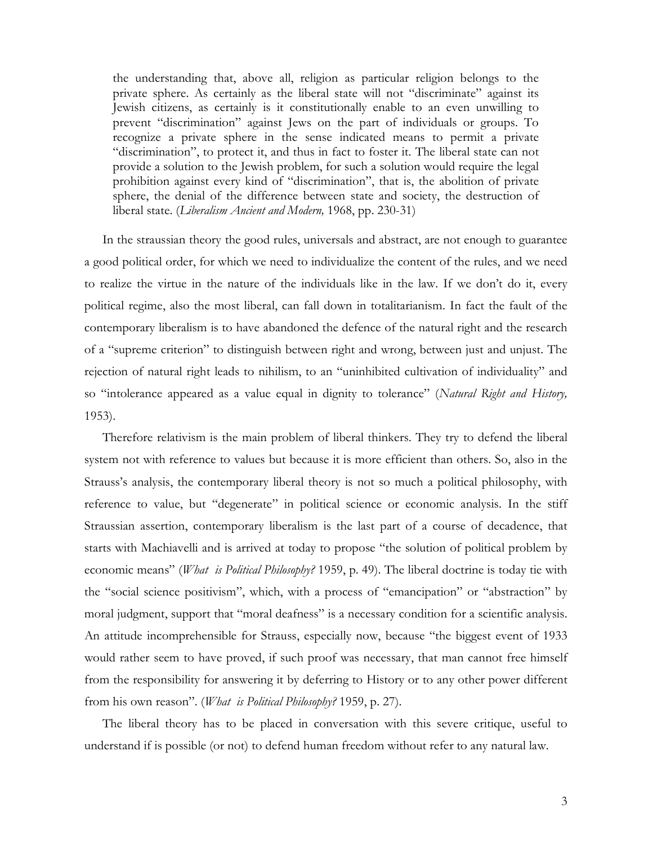the understanding that, above all, religion as particular religion belongs to the private sphere. As certainly as the liberal state will not "discriminate" against its Jewish citizens, as certainly is it constitutionally enable to an even unwilling to prevent "discrimination" against Jews on the part of individuals or groups. To recognize a private sphere in the sense indicated means to permit a private "discrimination", to protect it, and thus in fact to foster it. The liberal state can not provide a solution to the Jewish problem, for such a solution would require the legal prohibition against every kind of "discrimination", that is, the abolition of private sphere, the denial of the difference between state and society, the destruction of liberal state. (Liberalism Ancient and Modern, 1968, pp. 230-31)

In the straussian theory the good rules, universals and abstract, are not enough to guarantee a good political order, for which we need to individualize the content of the rules, and we need to realize the virtue in the nature of the individuals like in the law. If we don't do it, every political regime, also the most liberal, can fall down in totalitarianism. In fact the fault of the contemporary liberalism is to have abandoned the defence of the natural right and the research of a "supreme criterion" to distinguish between right and wrong, between just and unjust. The rejection of natural right leads to nihilism, to an "uninhibited cultivation of individuality" and so "intolerance appeared as a value equal in dignity to tolerance" (Natural Right and History, 1953).

Therefore relativism is the main problem of liberal thinkers. They try to defend the liberal system not with reference to values but because it is more efficient than others. So, also in the Strauss's analysis, the contemporary liberal theory is not so much a political philosophy, with reference to value, but "degenerate" in political science or economic analysis. In the stiff Straussian assertion, contemporary liberalism is the last part of a course of decadence, that starts with Machiavelli and is arrived at today to propose "the solution of political problem by economic means" (What is Political Philosophy? 1959, p. 49). The liberal doctrine is today tie with the "social science positivism", which, with a process of "emancipation" or "abstraction" by moral judgment, support that "moral deafness" is a necessary condition for a scientific analysis. An attitude incomprehensible for Strauss, especially now, because "the biggest event of 1933 would rather seem to have proved, if such proof was necessary, that man cannot free himself from the responsibility for answering it by deferring to History or to any other power different from his own reason". (*What is Political Philosophy?* 1959, p. 27).

The liberal theory has to be placed in conversation with this severe critique, useful to understand if is possible (or not) to defend human freedom without refer to any natural law.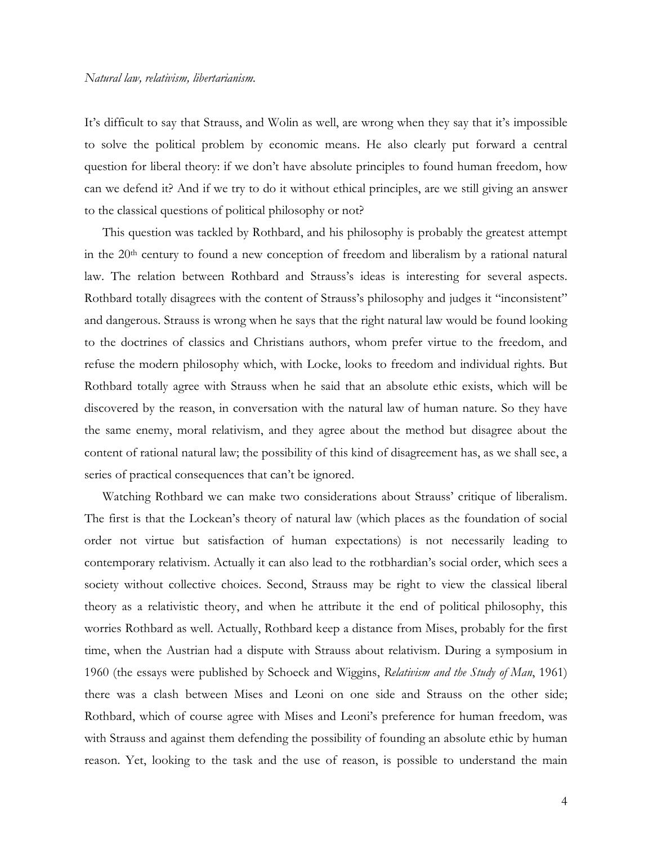It's difficult to say that Strauss, and Wolin as well, are wrong when they say that it's impossible to solve the political problem by economic means. He also clearly put forward a central question for liberal theory: if we don't have absolute principles to found human freedom, how can we defend it? And if we try to do it without ethical principles, are we still giving an answer to the classical questions of political philosophy or not?

This question was tackled by Rothbard, and his philosophy is probably the greatest attempt in the 20<sup>th</sup> century to found a new conception of freedom and liberalism by a rational natural law. The relation between Rothbard and Strauss's ideas is interesting for several aspects. Rothbard totally disagrees with the content of Strauss's philosophy and judges it "inconsistent" and dangerous. Strauss is wrong when he says that the right natural law would be found looking to the doctrines of classics and Christians authors, whom prefer virtue to the freedom, and refuse the modern philosophy which, with Locke, looks to freedom and individual rights. But Rothbard totally agree with Strauss when he said that an absolute ethic exists, which will be discovered by the reason, in conversation with the natural law of human nature. So they have the same enemy, moral relativism, and they agree about the method but disagree about the content of rational natural law; the possibility of this kind of disagreement has, as we shall see, a series of practical consequences that can't be ignored.

Watching Rothbard we can make two considerations about Strauss' critique of liberalism. The first is that the Lockean's theory of natural law (which places as the foundation of social order not virtue but satisfaction of human expectations) is not necessarily leading to contemporary relativism. Actually it can also lead to the rotbhardian's social order, which sees a society without collective choices. Second, Strauss may be right to view the classical liberal theory as a relativistic theory, and when he attribute it the end of political philosophy, this worries Rothbard as well. Actually, Rothbard keep a distance from Mises, probably for the first time, when the Austrian had a dispute with Strauss about relativism. During a symposium in 1960 (the essays were published by Schoeck and Wiggins, Relativism and the Study of Man, 1961) there was a clash between Mises and Leoni on one side and Strauss on the other side; Rothbard, which of course agree with Mises and Leoni's preference for human freedom, was with Strauss and against them defending the possibility of founding an absolute ethic by human reason. Yet, looking to the task and the use of reason, is possible to understand the main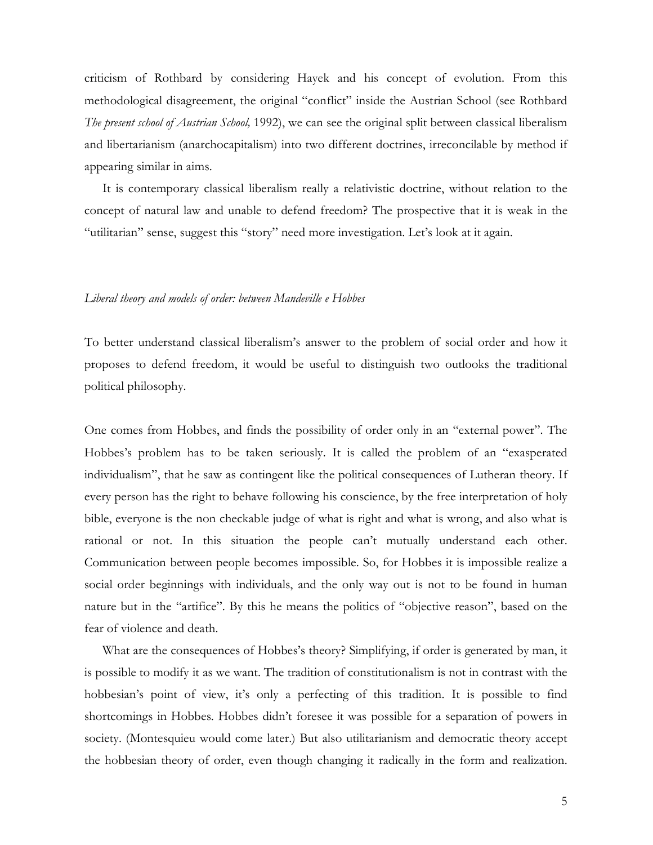criticism of Rothbard by considering Hayek and his concept of evolution. From this methodological disagreement, the original "conflict" inside the Austrian School (see Rothbard The present school of Austrian School, 1992), we can see the original split between classical liberalism and libertarianism (anarchocapitalism) into two different doctrines, irreconcilable by method if appearing similar in aims.

It is contemporary classical liberalism really a relativistic doctrine, without relation to the concept of natural law and unable to defend freedom? The prospective that it is weak in the "utilitarian" sense, suggest this "story" need more investigation. Let's look at it again.

#### Liberal theory and models of order: between Mandeville e Hobbes

To better understand classical liberalism's answer to the problem of social order and how it proposes to defend freedom, it would be useful to distinguish two outlooks the traditional political philosophy.

One comes from Hobbes, and finds the possibility of order only in an "external power". The Hobbes's problem has to be taken seriously. It is called the problem of an "exasperated individualism", that he saw as contingent like the political consequences of Lutheran theory. If every person has the right to behave following his conscience, by the free interpretation of holy bible, everyone is the non checkable judge of what is right and what is wrong, and also what is rational or not. In this situation the people can't mutually understand each other. Communication between people becomes impossible. So, for Hobbes it is impossible realize a social order beginnings with individuals, and the only way out is not to be found in human nature but in the "artifice". By this he means the politics of "objective reason", based on the fear of violence and death.

What are the consequences of Hobbes's theory? Simplifying, if order is generated by man, it is possible to modify it as we want. The tradition of constitutionalism is not in contrast with the hobbesian's point of view, it's only a perfecting of this tradition. It is possible to find shortcomings in Hobbes. Hobbes didn't foresee it was possible for a separation of powers in society. (Montesquieu would come later.) But also utilitarianism and democratic theory accept the hobbesian theory of order, even though changing it radically in the form and realization.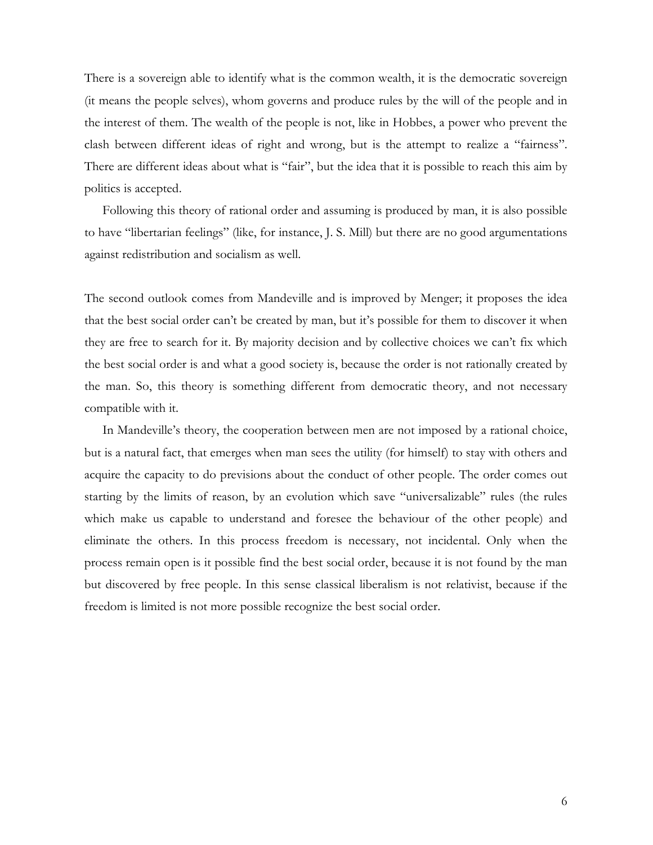There is a sovereign able to identify what is the common wealth, it is the democratic sovereign (it means the people selves), whom governs and produce rules by the will of the people and in the interest of them. The wealth of the people is not, like in Hobbes, a power who prevent the clash between different ideas of right and wrong, but is the attempt to realize a "fairness". There are different ideas about what is "fair", but the idea that it is possible to reach this aim by politics is accepted.

Following this theory of rational order and assuming is produced by man, it is also possible to have "libertarian feelings" (like, for instance, J. S. Mill) but there are no good argumentations against redistribution and socialism as well.

The second outlook comes from Mandeville and is improved by Menger; it proposes the idea that the best social order can't be created by man, but it's possible for them to discover it when they are free to search for it. By majority decision and by collective choices we can't fix which the best social order is and what a good society is, because the order is not rationally created by the man. So, this theory is something different from democratic theory, and not necessary compatible with it.

In Mandeville's theory, the cooperation between men are not imposed by a rational choice, but is a natural fact, that emerges when man sees the utility (for himself) to stay with others and acquire the capacity to do previsions about the conduct of other people. The order comes out starting by the limits of reason, by an evolution which save "universalizable" rules (the rules which make us capable to understand and foresee the behaviour of the other people) and eliminate the others. In this process freedom is necessary, not incidental. Only when the process remain open is it possible find the best social order, because it is not found by the man but discovered by free people. In this sense classical liberalism is not relativist, because if the freedom is limited is not more possible recognize the best social order.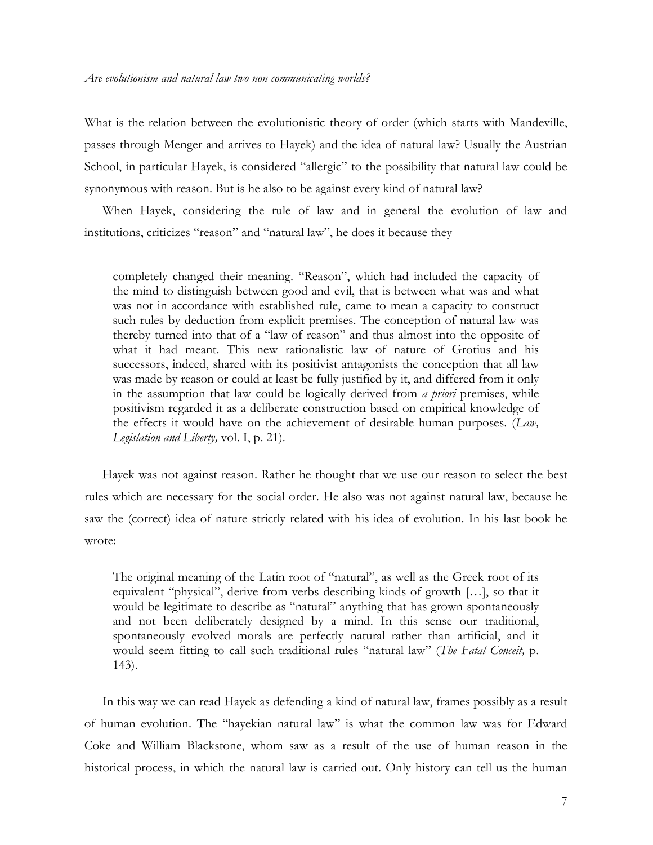What is the relation between the evolutionistic theory of order (which starts with Mandeville, passes through Menger and arrives to Hayek) and the idea of natural law? Usually the Austrian School, in particular Hayek, is considered "allergic" to the possibility that natural law could be synonymous with reason. But is he also to be against every kind of natural law?

When Hayek, considering the rule of law and in general the evolution of law and institutions, criticizes "reason" and "natural law", he does it because they

completely changed their meaning. "Reason", which had included the capacity of the mind to distinguish between good and evil, that is between what was and what was not in accordance with established rule, came to mean a capacity to construct such rules by deduction from explicit premises. The conception of natural law was thereby turned into that of a "law of reason" and thus almost into the opposite of what it had meant. This new rationalistic law of nature of Grotius and his successors, indeed, shared with its positivist antagonists the conception that all law was made by reason or could at least be fully justified by it, and differed from it only in the assumption that law could be logically derived from *a priori* premises, while positivism regarded it as a deliberate construction based on empirical knowledge of the effects it would have on the achievement of desirable human purposes. (Law, Legislation and Liberty, vol. I, p. 21).

Hayek was not against reason. Rather he thought that we use our reason to select the best rules which are necessary for the social order. He also was not against natural law, because he saw the (correct) idea of nature strictly related with his idea of evolution. In his last book he wrote:

The original meaning of the Latin root of "natural", as well as the Greek root of its equivalent "physical", derive from verbs describing kinds of growth […], so that it would be legitimate to describe as "natural" anything that has grown spontaneously and not been deliberately designed by a mind. In this sense our traditional, spontaneously evolved morals are perfectly natural rather than artificial, and it would seem fitting to call such traditional rules "natural law" (The Fatal Conceit, p. 143).

In this way we can read Hayek as defending a kind of natural law, frames possibly as a result of human evolution. The "hayekian natural law" is what the common law was for Edward Coke and William Blackstone, whom saw as a result of the use of human reason in the historical process, in which the natural law is carried out. Only history can tell us the human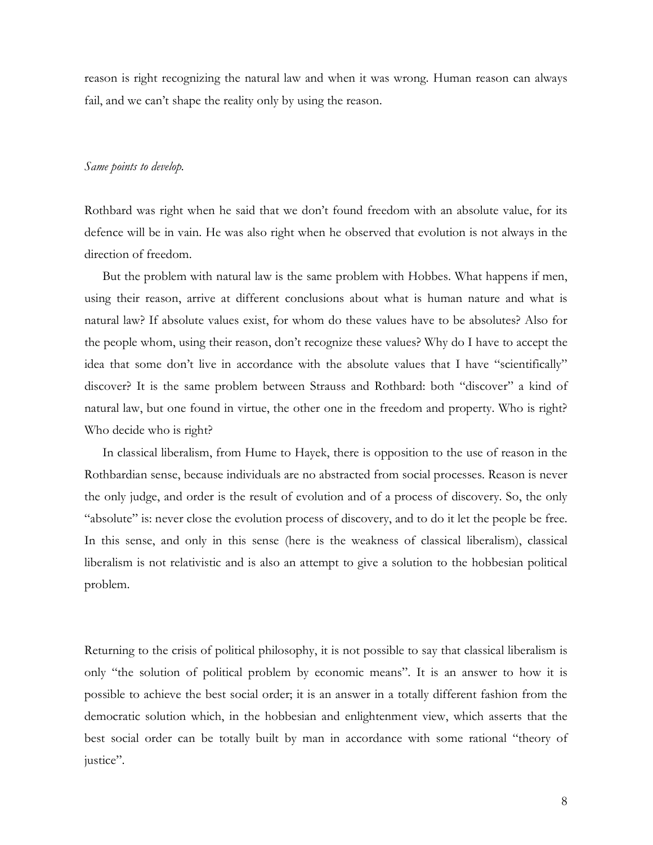reason is right recognizing the natural law and when it was wrong. Human reason can always fail, and we can't shape the reality only by using the reason.

## Same points to develop.

Rothbard was right when he said that we don't found freedom with an absolute value, for its defence will be in vain. He was also right when he observed that evolution is not always in the direction of freedom.

But the problem with natural law is the same problem with Hobbes. What happens if men, using their reason, arrive at different conclusions about what is human nature and what is natural law? If absolute values exist, for whom do these values have to be absolutes? Also for the people whom, using their reason, don't recognize these values? Why do I have to accept the idea that some don't live in accordance with the absolute values that I have "scientifically" discover? It is the same problem between Strauss and Rothbard: both "discover" a kind of natural law, but one found in virtue, the other one in the freedom and property. Who is right? Who decide who is right?

In classical liberalism, from Hume to Hayek, there is opposition to the use of reason in the Rothbardian sense, because individuals are no abstracted from social processes. Reason is never the only judge, and order is the result of evolution and of a process of discovery. So, the only "absolute" is: never close the evolution process of discovery, and to do it let the people be free. In this sense, and only in this sense (here is the weakness of classical liberalism), classical liberalism is not relativistic and is also an attempt to give a solution to the hobbesian political problem.

Returning to the crisis of political philosophy, it is not possible to say that classical liberalism is only "the solution of political problem by economic means". It is an answer to how it is possible to achieve the best social order; it is an answer in a totally different fashion from the democratic solution which, in the hobbesian and enlightenment view, which asserts that the best social order can be totally built by man in accordance with some rational "theory of justice".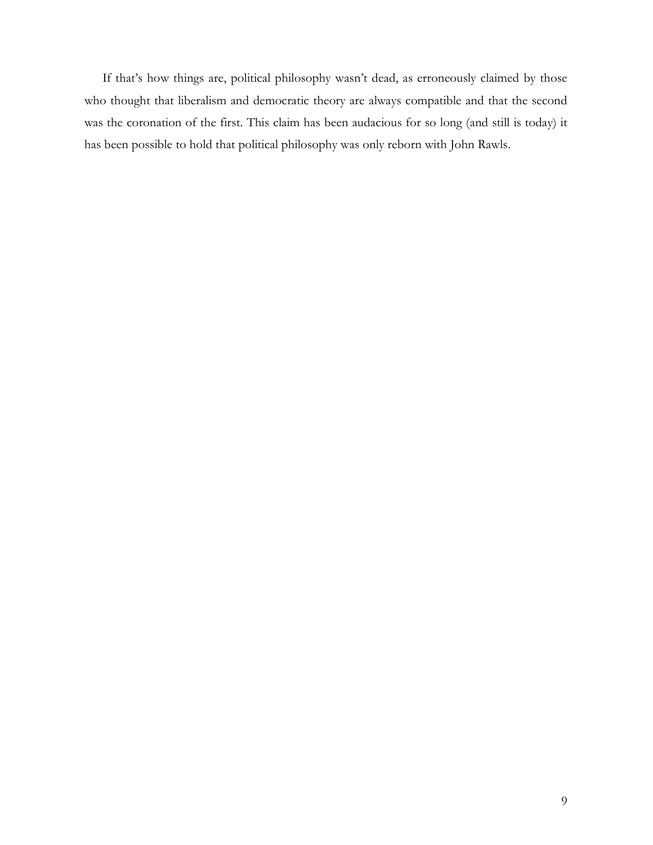If that's how things are, political philosophy wasn't dead, as erroneously claimed by those who thought that liberalism and democratic theory are always compatible and that the second was the coronation of the first. This claim has been audacious for so long (and still is today) it has been possible to hold that political philosophy was only reborn with John Rawls.